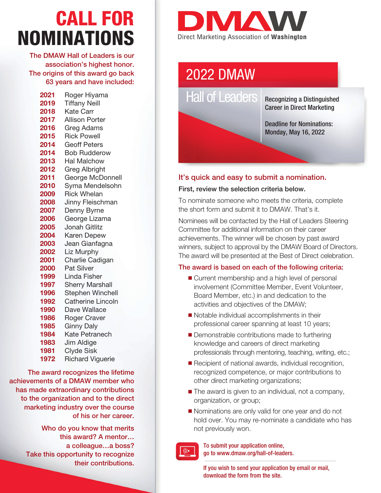# CALL FOR NOMINATIONS

The DMAW Hall of Leaders is our association's highest honor. The origins of this award go back 63 years and have included:

| 2021 | Roger Hiyama             |
|------|--------------------------|
| 2019 | <b>Tiffany Neill</b>     |
| 2018 | <b>Kate Carr</b>         |
| 2017 | <b>Allison Porter</b>    |
| 2016 | <b>Greg Adams</b>        |
| 2015 | <b>Rick Powell</b>       |
| 2014 | <b>Geoff Peters</b>      |
| 2014 | <b>Bob Rudderow</b>      |
| 2013 | <b>Hal Malchow</b>       |
| 2012 | Greg Albright            |
| 2011 | George McDonnell         |
| 2010 | Syma Mendelsohn          |
| 2009 | <b>Rick Whelan</b>       |
| 2008 | Jinny Fleischman         |
| 2007 | Denny Byrne              |
| 2006 | George Lizama            |
| 2005 | <b>Jonah Gitlitz</b>     |
| 2004 | <b>Karen Depew</b>       |
| 2003 | Jean Gianfagna           |
| 2002 | <b>Liz Murphy</b>        |
| 2001 | Charlie Cadigan          |
| 2000 | <b>Pat Silver</b>        |
| 1999 | Linda Fisher             |
| 1997 | <b>Sherry Marshall</b>   |
| 1996 | <b>Stephen Winchell</b>  |
| 1992 | <b>Catherine Lincoln</b> |
| 1990 | Dave Wallace             |
| 1986 | <b>Roger Craver</b>      |
| 1985 | <b>Ginny Daly</b>        |
| 1984 | Kate Petranech           |
| 1983 | Jim Aldige               |
| 1981 | <b>Clyde Sisk</b>        |
| 1972 | <b>Richard Viguerie</b>  |

The award recognizes the lifetime achievements of a DMAW member who has made extraordinary contributions to the organization and to the direct marketing industry over the course of his or her career.

> Who do you know that merits this award? A mentor… a colleague…a boss? Take this opportunity to recognize their contributions.



# 2022 DMAW

Hall of Leaders | Recognizing a Distinguished

Career in Direct Marketing

Deadline for Nominations: Monday, May 16, 2022

# It's quick and easy to submit a nomination.

#### First, review the selection criteria below.

To nominate someone who meets the criteria, complete the short form and submit it to DMAW. That's it.

Nominees will be contacted by the Hall of Leaders Steering Committee for additional information on their career achievements. The winner will be chosen by past award winners, subject to approval by the DMAW Board of Directors. The award will be presented at the Best of Direct celebration.

### The award is based on each of the following criteria:

- Current membership and a high level of personal involvement (Committee Member, Event Volunteer, Board Member, etc.) in and dedication to the activities and objectives of the DMAW;
- $\blacksquare$  Notable individual accomplishments in their professional career spanning at least 10 years;
- $\blacksquare$  Demonstrable contributions made to furthering knowledge and careers of direct marketing professionals through mentoring, teaching, writing, etc.;
- $\blacksquare$  Recipient of national awards, individual recognition, recognized competence, or major contributions to other direct marketing organizations;
- $\blacksquare$  The award is given to an individual, not a company, organization, or group;
- **Nominations are only valid for one year and do not** hold over. You may re-nominate a candidate who has not previously won.



 $((\bullet)$ 

If you wish to send your application by email or mail, download the form from the site.